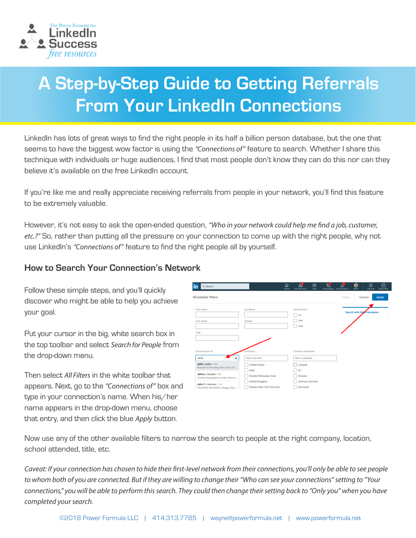

# **A Step-by-Step Guide to Getting Referrals From Your LinkedIn Connections**

LinkedIn has lots of great ways to find the right people in its half a billion person database, but the one that seems to have the biggest wow factor is using the *"Connections of"* feature to search. Whether I share this technique with individuals or huge audiences, I find that most people don't know they can do this nor can they believe it's available on the free LinkedIn account.

If you're like me and really appreciate receiving referrals from people in your network, you'll find this feature to be extremely valuable.

However, it's not easy to ask the open-ended question, *"Who in your network could help me find a job, customer, etc.?"* So, rather than putting all the pressure on your connection to come up with the right people, why not use LinkedIn's *"Connections of"* feature to find the right people all by yourself.

#### **How to Search Your Connection's Network**

Follow these simple steps, and you'll quickly discover who might be able to help you achieve your goal.

Put your cursor in the big, white search box in the top toolbar and select *Search for People* from the drop-down menu.

Then select *All Filters* in the white toolbar that appears. Next, go to the *"Connections of"* box and type in your connection's name. When his/her name appears in the drop-down menu, choose that entry, and then click the blue *Apply* button.

| in<br>Q Search                                                                                                                                                                                                           |                                                                                                                                        | <b>ଇ</b><br>Home | $2^8$<br>My Network                                                                             | 白<br><b>Jobs</b> | 딥<br>Messaging | $\mathfrak{a}^{\mathfrak{s}}$<br>Notifications | G<br>Me <sub>2</sub> | 噩<br>Work -                        | ◎<br>Sales Nav |  |
|--------------------------------------------------------------------------------------------------------------------------------------------------------------------------------------------------------------------------|----------------------------------------------------------------------------------------------------------------------------------------|------------------|-------------------------------------------------------------------------------------------------|------------------|----------------|------------------------------------------------|----------------------|------------------------------------|----------------|--|
| All people filters                                                                                                                                                                                                       |                                                                                                                                        |                  |                                                                                                 |                  |                | Clear                                          |                      | Cancel                             | <b>Apply</b>   |  |
| First name<br>Last name<br>Title                                                                                                                                                                                         | Company<br>School                                                                                                                      |                  | Connections<br>1st<br>2 <sub>nd</sub><br>$3rd+$                                                 |                  |                |                                                |                      | <b>Search with Sales Navigator</b> |                |  |
| Connections of<br>John<br>$\mathbf{x}$<br>John Lauber · 1st<br>Pioneer in Providing Part-Time CF<br>Johnny Vassallo + 1st<br>Connecting people to their food st<br>John R. Howman . 1st<br>TRUSTED ADVISOR  Vistage Chai | Locations<br>Add a location<br><b>United States</b><br>India<br>Greater Milwaukee Area<br>United Kingdom<br>Greater New York City Area |                  | Current companies<br>Add a company<br>LinkedIn<br>EY<br>Amazon<br>Johnson Controls<br>Microsoft |                  |                |                                                |                      |                                    |                |  |

Now use any of the other available filters to narrow the search to people at the right company, location, school attended, title, etc.

*Caveat: If your connection has chosen to hide their first-level network from their connections, you'll only be able to see people to whom both of you are connected. But if they are willing to change their "Who can see your connections" setting to "Your connections," you will be able to perform this search. They could then change their setting back to "Only you" when you have completed your search.*